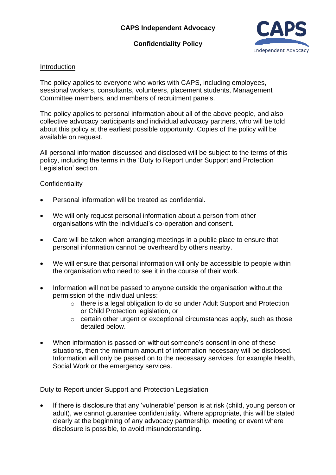# **Confidentiality Policy**



#### Introduction

The policy applies to everyone who works with CAPS, including employees, sessional workers, consultants, volunteers, placement students, Management Committee members, and members of recruitment panels.

The policy applies to personal information about all of the above people, and also collective advocacy participants and individual advocacy partners, who will be told about this policy at the earliest possible opportunity. Copies of the policy will be available on request.

All personal information discussed and disclosed will be subject to the terms of this policy, including the terms in the 'Duty to Report under Support and Protection Legislation' section.

### **Confidentiality**

- Personal information will be treated as confidential.
- We will only request personal information about a person from other organisations with the individual's co-operation and consent.
- Care will be taken when arranging meetings in a public place to ensure that personal information cannot be overheard by others nearby.
- We will ensure that personal information will only be accessible to people within the organisation who need to see it in the course of their work.
- Information will not be passed to anyone outside the organisation without the permission of the individual unless:
	- o there is a legal obligation to do so under Adult Support and Protection or Child Protection legislation, or
	- o certain other urgent or exceptional circumstances apply, such as those detailed below.
- When information is passed on without someone's consent in one of these situations, then the minimum amount of information necessary will be disclosed. Information will only be passed on to the necessary services, for example Health, Social Work or the emergency services.

### Duty to Report under Support and Protection Legislation

• If there is disclosure that any 'vulnerable' person is at risk (child, young person or adult), we cannot guarantee confidentiality. Where appropriate, this will be stated clearly at the beginning of any advocacy partnership, meeting or event where disclosure is possible, to avoid misunderstanding.